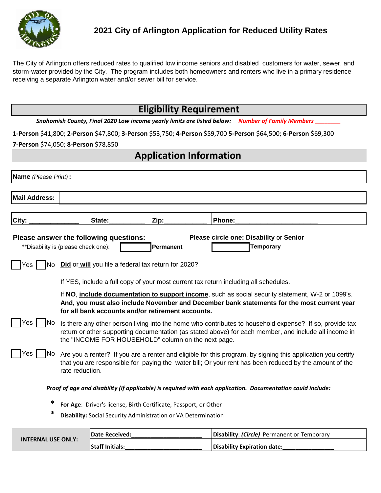

The City of Arlington offers reduced rates to qualified low income seniors and disabled customers for water, sewer, and storm-water provided by the City. The program includes both homeowners and renters who live in a primary residence receiving a separate Arlington water and/or sewer bill for service.

## **Eligibility Requirement**

*Snohomish County, Final 2020 Low income yearly limits are listed below: Number of Family Members \_\_\_\_\_\_\_\_*

**1-Person** \$41,800; **2-Person** \$47,800; **3-Person** \$53,750; **4-Person** \$59,700 **5-Person** \$64,500; **6-Person** \$69,300

**7-Person** \$74,050; **8-Person** \$78,850

## **Application Information**

| Name (Please Print):                                                                                                                                       |                                                                                                                                                                                                                                                                         |  |  |  |
|------------------------------------------------------------------------------------------------------------------------------------------------------------|-------------------------------------------------------------------------------------------------------------------------------------------------------------------------------------------------------------------------------------------------------------------------|--|--|--|
| <b>Mail Address:</b>                                                                                                                                       |                                                                                                                                                                                                                                                                         |  |  |  |
| City:                                                                                                                                                      | Phone:<br>Zip:<br>State:                                                                                                                                                                                                                                                |  |  |  |
| Please answer the following questions:<br>Please circle one: Disability or Senior<br>** Disability is (please check one):<br><b>Temporary</b><br>Permanent |                                                                                                                                                                                                                                                                         |  |  |  |
| Did or will you file a federal tax return for 2020?<br>INo.<br>Yes                                                                                         |                                                                                                                                                                                                                                                                         |  |  |  |
|                                                                                                                                                            | If YES, include a full copy of your most current tax return including all schedules.                                                                                                                                                                                    |  |  |  |
|                                                                                                                                                            | If NO, <i>include documentation to support income</i> , such as social security statement, W-2 or 1099's.<br>And, you must also include November and December bank statements for the most current year<br>for all bank accounts and/or retirement accounts.            |  |  |  |
| Yes<br>No.                                                                                                                                                 | Is there any other person living into the home who contributes to household expense? If so, provide tax<br>return or other supporting documentation (as stated above) for each member, and include all income in<br>the "INCOME FOR HOUSEHOLD" column on the next page. |  |  |  |
| Yes<br>No.                                                                                                                                                 | Are you a renter? If you are a renter and eligible for this program, by signing this application you certify<br>that you are responsible for paying the water bill; Or your rent has been reduced by the amount of the<br>rate reduction.                               |  |  |  |
| Proof of age and disability (if applicable) is required with each application. Documentation could include:                                                |                                                                                                                                                                                                                                                                         |  |  |  |
| ∗                                                                                                                                                          | For Age: Driver's license, Birth Certificate, Passport, or Other<br>Disability: Social Security Administration or VA Determination                                                                                                                                      |  |  |  |

| <b>INTERNAL USE ONLY:</b> | <b>IDate Received:</b> | <b>Disability: (Circle)</b> Permanent or Temporary |
|---------------------------|------------------------|----------------------------------------------------|
|                           | <b>Staff Initials:</b> | Disability Expiration date:                        |